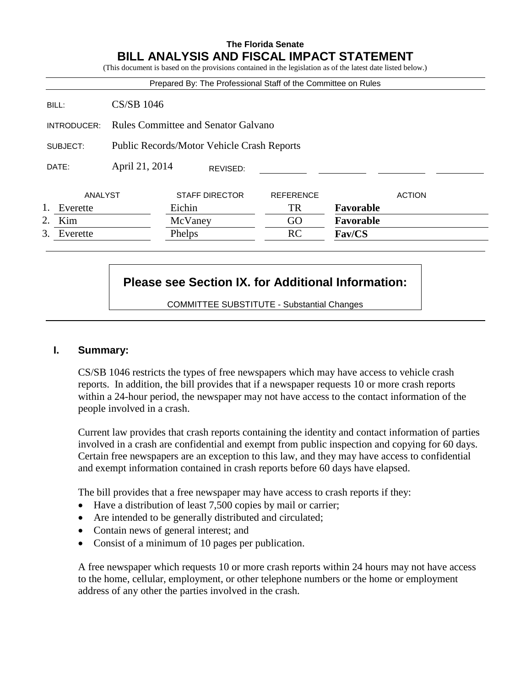# **The Florida Senate BILL ANALYSIS AND FISCAL IMPACT STATEMENT**

(This document is based on the provisions contained in the legislation as of the latest date listed below.) Prepared By: The Professional Staff of the Committee on Rules BILL: CS/SB 1046 INTRODUCER: Rules Committee and Senator Galvano SUBJECT: Public Records/Motor Vehicle Crash Reports DATE: April 21, 2014 ANALYST STAFF DIRECTOR REFERENCE ACTION 1. Everette Eichin TR **Favorable** 2. Kim McVaney GO **Favorable** 3. Everette Phelps RC **Fav/CS** REVISED:

# **Please see Section IX. for Additional Information:**

COMMITTEE SUBSTITUTE - Substantial Changes

# **I. Summary:**

CS/SB 1046 restricts the types of free newspapers which may have access to vehicle crash reports. In addition, the bill provides that if a newspaper requests 10 or more crash reports within a 24-hour period, the newspaper may not have access to the contact information of the people involved in a crash.

Current law provides that crash reports containing the identity and contact information of parties involved in a crash are confidential and exempt from public inspection and copying for 60 days. Certain free newspapers are an exception to this law, and they may have access to confidential and exempt information contained in crash reports before 60 days have elapsed.

The bill provides that a free newspaper may have access to crash reports if they:

- Have a distribution of least 7,500 copies by mail or carrier;
- Are intended to be generally distributed and circulated;
- Contain news of general interest; and
- Consist of a minimum of 10 pages per publication.

A free newspaper which requests 10 or more crash reports within 24 hours may not have access to the home, cellular, employment, or other telephone numbers or the home or employment address of any other the parties involved in the crash.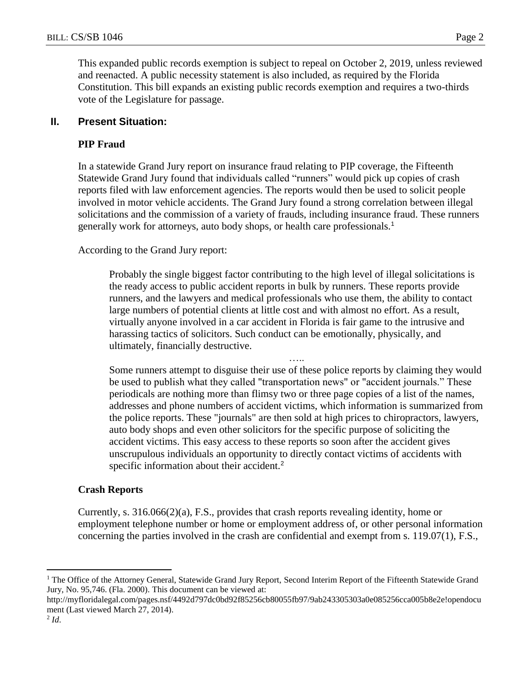This expanded public records exemption is subject to repeal on October 2, 2019, unless reviewed and reenacted. A public necessity statement is also included, as required by the Florida Constitution. This bill expands an existing public records exemption and requires a two-thirds vote of the Legislature for passage.

## **II. Present Situation:**

### **PIP Fraud**

In a statewide Grand Jury report on insurance fraud relating to PIP coverage, the Fifteenth Statewide Grand Jury found that individuals called "runners" would pick up copies of crash reports filed with law enforcement agencies. The reports would then be used to solicit people involved in motor vehicle accidents. The Grand Jury found a strong correlation between illegal solicitations and the commission of a variety of frauds, including insurance fraud. These runners generally work for attorneys, auto body shops, or health care professionals.<sup>1</sup>

According to the Grand Jury report:

Probably the single biggest factor contributing to the high level of illegal solicitations is the ready access to public accident reports in bulk by runners. These reports provide runners, and the lawyers and medical professionals who use them, the ability to contact large numbers of potential clients at little cost and with almost no effort. As a result, virtually anyone involved in a car accident in Florida is fair game to the intrusive and harassing tactics of solicitors. Such conduct can be emotionally, physically, and ultimately, financially destructive.

….. Some runners attempt to disguise their use of these police reports by claiming they would be used to publish what they called "transportation news" or "accident journals." These periodicals are nothing more than flimsy two or three page copies of a list of the names, addresses and phone numbers of accident victims, which information is summarized from the police reports. These "journals" are then sold at high prices to chiropractors, lawyers, auto body shops and even other solicitors for the specific purpose of soliciting the accident victims. This easy access to these reports so soon after the accident gives unscrupulous individuals an opportunity to directly contact victims of accidents with specific information about their accident.<sup>2</sup>

#### **Crash Reports**

Currently, s.  $316.066(2)(a)$ , F.S., provides that crash reports revealing identity, home or employment telephone number or home or employment address of, or other personal information concerning the parties involved in the crash are confidential and exempt from s. 119.07(1), F.S.,

 $\overline{a}$ 

<sup>&</sup>lt;sup>1</sup> The Office of the Attorney General, Statewide Grand Jury Report, Second Interim Report of the Fifteenth Statewide Grand Jury, No. 95,746. (Fla. 2000). This document can be viewed at:

http://myfloridalegal.com/pages.nsf/4492d797dc0bd92f85256cb80055fb97/9ab243305303a0e085256cca005b8e2e!opendocu ment (Last viewed March 27, 2014).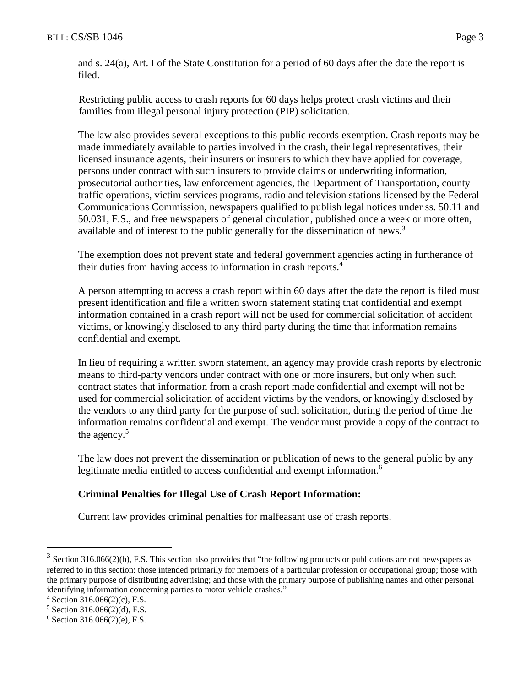and s. 24(a), Art. I of the State Constitution for a period of 60 days after the date the report is filed.

Restricting public access to crash reports for 60 days helps protect crash victims and their families from illegal personal injury protection (PIP) solicitation.

The law also provides several exceptions to this public records exemption. Crash reports may be made immediately available to parties involved in the crash, their legal representatives, their licensed insurance agents, their insurers or insurers to which they have applied for coverage, persons under contract with such insurers to provide claims or underwriting information, prosecutorial authorities, law enforcement agencies, the Department of Transportation, county traffic operations, victim services programs, radio and television stations licensed by the Federal Communications Commission, newspapers qualified to publish legal notices under ss. 50.11 and 50.031, F.S., and free newspapers of general circulation, published once a week or more often, available and of interest to the public generally for the dissemination of news.<sup>3</sup>

The exemption does not prevent state and federal government agencies acting in furtherance of their duties from having access to information in crash reports.<sup>4</sup>

A person attempting to access a crash report within 60 days after the date the report is filed must present identification and file a written sworn statement stating that confidential and exempt information contained in a crash report will not be used for commercial solicitation of accident victims, or knowingly disclosed to any third party during the time that information remains confidential and exempt.

In lieu of requiring a written sworn statement, an agency may provide crash reports by electronic means to third-party vendors under contract with one or more insurers, but only when such contract states that information from a crash report made confidential and exempt will not be used for commercial solicitation of accident victims by the vendors, or knowingly disclosed by the vendors to any third party for the purpose of such solicitation, during the period of time the information remains confidential and exempt. The vendor must provide a copy of the contract to the agency. $5$ 

The law does not prevent the dissemination or publication of news to the general public by any legitimate media entitled to access confidential and exempt information.<sup>6</sup>

# **Criminal Penalties for Illegal Use of Crash Report Information:**

Current law provides criminal penalties for malfeasant use of crash reports.

 $\overline{a}$ 

 $3$  Section 316.066(2)(b), F.S. This section also provides that "the following products or publications are not newspapers as referred to in this section: those intended primarily for members of a particular profession or occupational group; those with the primary purpose of distributing advertising; and those with the primary purpose of publishing names and other personal identifying information concerning parties to motor vehicle crashes."

 $4$  Section 316.066(2)(c), F.S.

<sup>5</sup> Section 316.066(2)(d), F.S.

 $6$  Section 316.066(2)(e), F.S.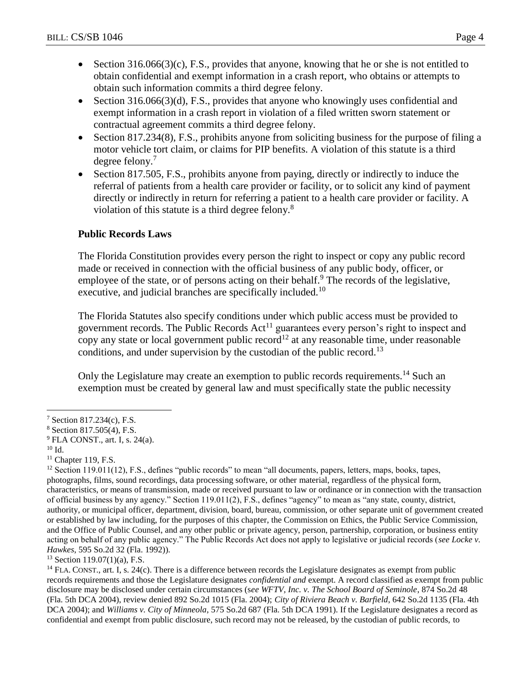- Section  $316.066(3)(c)$ , F.S., provides that anyone, knowing that he or she is not entitled to obtain confidential and exempt information in a crash report, who obtains or attempts to obtain such information commits a third degree felony.
- Section  $316.066(3)(d)$ , F.S., provides that anyone who knowingly uses confidential and exempt information in a crash report in violation of a filed written sworn statement or contractual agreement commits a third degree felony.
- Section 817.234(8), F.S., prohibits anyone from soliciting business for the purpose of filing a motor vehicle tort claim, or claims for PIP benefits. A violation of this statute is a third degree felony.<sup>7</sup>
- Section 817.505, F.S., prohibits anyone from paying, directly or indirectly to induce the referral of patients from a health care provider or facility, or to solicit any kind of payment directly or indirectly in return for referring a patient to a health care provider or facility. A violation of this statute is a third degree felony.<sup>8</sup>

# **Public Records Laws**

The Florida Constitution provides every person the right to inspect or copy any public record made or received in connection with the official business of any public body, officer, or employee of the state, or of persons acting on their behalf.<sup>9</sup> The records of the legislative, executive, and judicial branches are specifically included.<sup>10</sup>

The Florida Statutes also specify conditions under which public access must be provided to government records. The Public Records  $Act<sup>11</sup>$  guarantees every person's right to inspect and copy any state or local government public record<sup>12</sup> at any reasonable time, under reasonable conditions, and under supervision by the custodian of the public record.<sup>13</sup>

Only the Legislature may create an exemption to public records requirements.<sup>14</sup> Such an exemption must be created by general law and must specifically state the public necessity

 $\overline{a}$ 

 $13$  Section 119.07(1)(a), F.S.

 $14$  FLA. CONST., art. I, s. 24(c). There is a difference between records the Legislature designates as exempt from public records requirements and those the Legislature designates *confidential and* exempt. A record classified as exempt from public disclosure may be disclosed under certain circumstances (s*ee WFTV, Inc. v. The School Board of Seminole*, 874 So.2d 48 (Fla. 5th DCA 2004), review denied 892 So.2d 1015 (Fla. 2004); *City of Riviera Beach v. Barfield*, 642 So.2d 1135 (Fla. 4th DCA 2004); and *Williams v. City of Minneola*, 575 So.2d 687 (Fla. 5th DCA 1991). If the Legislature designates a record as confidential and exempt from public disclosure, such record may not be released, by the custodian of public records, to

<sup>7</sup> Section 817.234(c), F.S.

<sup>8</sup> Section 817.505(4), F.S.

 $9$  FLA CONST., art. I, s. 24(a).

<sup>10</sup> Id.

 $11$  Chapter 119, F.S.

 $12$  Section 119.011(12), F.S., defines "public records" to mean "all documents, papers, letters, maps, books, tapes, photographs, films, sound recordings, data processing software, or other material, regardless of the physical form, characteristics, or means of transmission, made or received pursuant to law or ordinance or in connection with the transaction of official business by any agency." Section 119.011(2), F.S., defines "agency" to mean as "any state, county, district, authority, or municipal officer, department, division, board, bureau, commission, or other separate unit of government created or established by law including, for the purposes of this chapter, the Commission on Ethics, the Public Service Commission, and the Office of Public Counsel, and any other public or private agency, person, partnership, corporation, or business entity acting on behalf of any public agency." The Public Records Act does not apply to legislative or judicial records (*see Locke v. Hawkes*, 595 So.2d 32 (Fla. 1992)).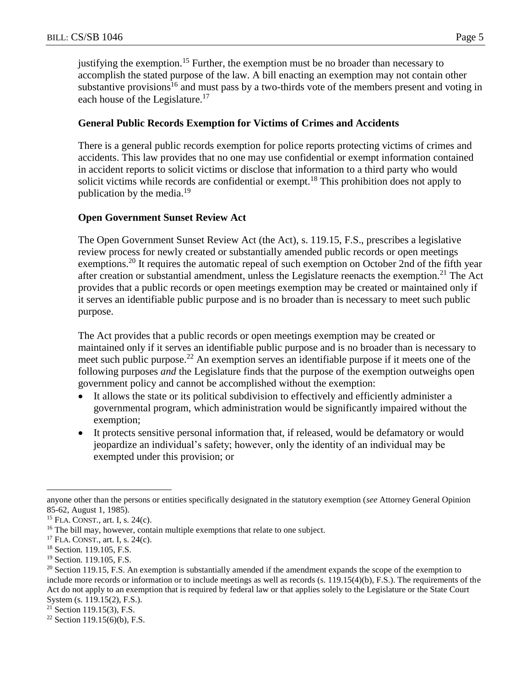justifying the exemption.<sup>15</sup> Further, the exemption must be no broader than necessary to accomplish the stated purpose of the law. A bill enacting an exemption may not contain other substantive provisions<sup>16</sup> and must pass by a two-thirds vote of the members present and voting in each house of the Legislature.<sup>17</sup>

#### **General Public Records Exemption for Victims of Crimes and Accidents**

There is a general public records exemption for police reports protecting victims of crimes and accidents. This law provides that no one may use confidential or exempt information contained in accident reports to solicit victims or disclose that information to a third party who would solicit victims while records are confidential or exempt.<sup>18</sup> This prohibition does not apply to publication by the media.<sup>19</sup>

## **Open Government Sunset Review Act**

The Open Government Sunset Review Act (the Act), s. 119.15, F.S., prescribes a legislative review process for newly created or substantially amended public records or open meetings exemptions.<sup>20</sup> It requires the automatic repeal of such exemption on October 2nd of the fifth year after creation or substantial amendment, unless the Legislature reenacts the exemption.<sup>21</sup> The Act provides that a public records or open meetings exemption may be created or maintained only if it serves an identifiable public purpose and is no broader than is necessary to meet such public purpose.

The Act provides that a public records or open meetings exemption may be created or maintained only if it serves an identifiable public purpose and is no broader than is necessary to meet such public purpose.<sup>22</sup> An exemption serves an identifiable purpose if it meets one of the following purposes *and* the Legislature finds that the purpose of the exemption outweighs open government policy and cannot be accomplished without the exemption:

- It allows the state or its political subdivision to effectively and efficiently administer a governmental program, which administration would be significantly impaired without the exemption;
- It protects sensitive personal information that, if released, would be defamatory or would jeopardize an individual's safety; however, only the identity of an individual may be exempted under this provision; or

 $\overline{a}$ 

anyone other than the persons or entities specifically designated in the statutory exemption (*see* Attorney General Opinion 85-62, August 1, 1985).

<sup>15</sup> FLA. CONST., art. I, s. 24(c).

<sup>&</sup>lt;sup>16</sup> The bill may, however, contain multiple exemptions that relate to one subject.

<sup>17</sup> FLA. CONST., art. I, s. 24(c).

<sup>&</sup>lt;sup>18</sup> Section. 119.105, F.S.

<sup>&</sup>lt;sup>19</sup> Section. 119.105, F.S.

 $20$  Section 119.15, F.S. An exemption is substantially amended if the amendment expands the scope of the exemption to include more records or information or to include meetings as well as records (s. 119.15(4)(b), F.S.). The requirements of the Act do not apply to an exemption that is required by federal law or that applies solely to the Legislature or the State Court System (s. 119.15(2), F.S.).

 $21$  Section 119.15(3), F.S.

<sup>&</sup>lt;sup>22</sup> Section 119.15(6)(b), F.S.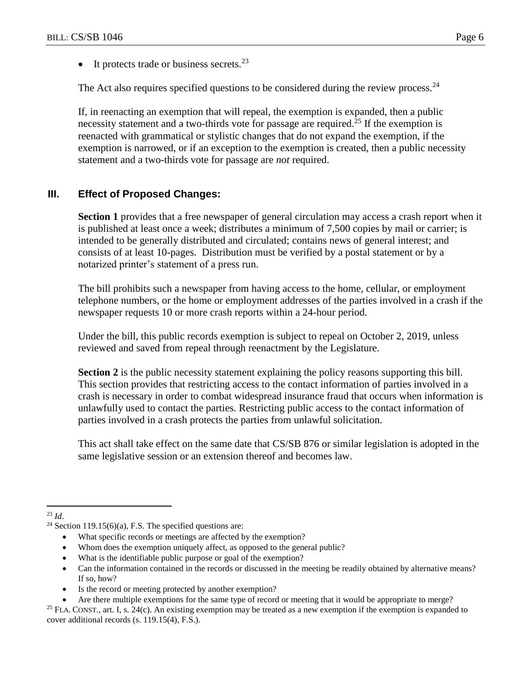$\bullet$  It protects trade or business secrets.<sup>23</sup>

The Act also requires specified questions to be considered during the review process. $24$ 

If, in reenacting an exemption that will repeal, the exemption is expanded, then a public necessity statement and a two-thirds vote for passage are required.<sup>25</sup> If the exemption is reenacted with grammatical or stylistic changes that do not expand the exemption, if the exemption is narrowed, or if an exception to the exemption is created, then a public necessity statement and a two-thirds vote for passage are *not* required.

# **III. Effect of Proposed Changes:**

**Section 1** provides that a free newspaper of general circulation may access a crash report when it is published at least once a week; distributes a minimum of 7,500 copies by mail or carrier; is intended to be generally distributed and circulated; contains news of general interest; and consists of at least 10-pages. Distribution must be verified by a postal statement or by a notarized printer's statement of a press run.

The bill prohibits such a newspaper from having access to the home, cellular, or employment telephone numbers, or the home or employment addresses of the parties involved in a crash if the newspaper requests 10 or more crash reports within a 24-hour period.

Under the bill, this public records exemption is subject to repeal on October 2, 2019, unless reviewed and saved from repeal through reenactment by the Legislature.

**Section 2** is the public necessity statement explaining the policy reasons supporting this bill. This section provides that restricting access to the contact information of parties involved in a crash is necessary in order to combat widespread insurance fraud that occurs when information is unlawfully used to contact the parties. Restricting public access to the contact information of parties involved in a crash protects the parties from unlawful solicitation.

This act shall take effect on the same date that CS/SB 876 or similar legislation is adopted in the same legislative session or an extension thereof and becomes law.

- What specific records or meetings are affected by the exemption?
- Whom does the exemption uniquely affect, as opposed to the general public?
- What is the identifiable public purpose or goal of the exemption?
- Can the information contained in the records or discussed in the meeting be readily obtained by alternative means? If so, how?
- Is the record or meeting protected by another exemption?
- Are there multiple exemptions for the same type of record or meeting that it would be appropriate to merge?

 $\overline{a}$ <sup>23</sup> *Id*.

<sup>&</sup>lt;sup>24</sup> Section 119.15(6)(a), F.S. The specified questions are:

<sup>&</sup>lt;sup>25</sup> FLA. CONST., art. I, s. 24(c). An existing exemption may be treated as a new exemption if the exemption is expanded to cover additional records (s. 119.15(4), F.S.).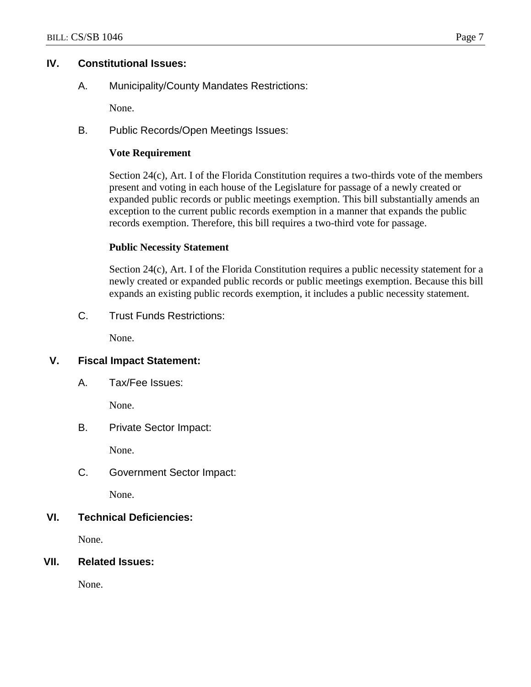## **IV. Constitutional Issues:**

A. Municipality/County Mandates Restrictions:

None.

B. Public Records/Open Meetings Issues:

# **Vote Requirement**

Section 24(c), Art. I of the Florida Constitution requires a two-thirds vote of the members present and voting in each house of the Legislature for passage of a newly created or expanded public records or public meetings exemption. This bill substantially amends an exception to the current public records exemption in a manner that expands the public records exemption. Therefore, this bill requires a two-third vote for passage.

## **Public Necessity Statement**

Section 24(c), Art. I of the Florida Constitution requires a public necessity statement for a newly created or expanded public records or public meetings exemption. Because this bill expands an existing public records exemption, it includes a public necessity statement.

C. Trust Funds Restrictions:

None.

# **V. Fiscal Impact Statement:**

A. Tax/Fee Issues:

None.

B. Private Sector Impact:

None.

C. Government Sector Impact:

None.

# **VI. Technical Deficiencies:**

None.

**VII. Related Issues:**

None.